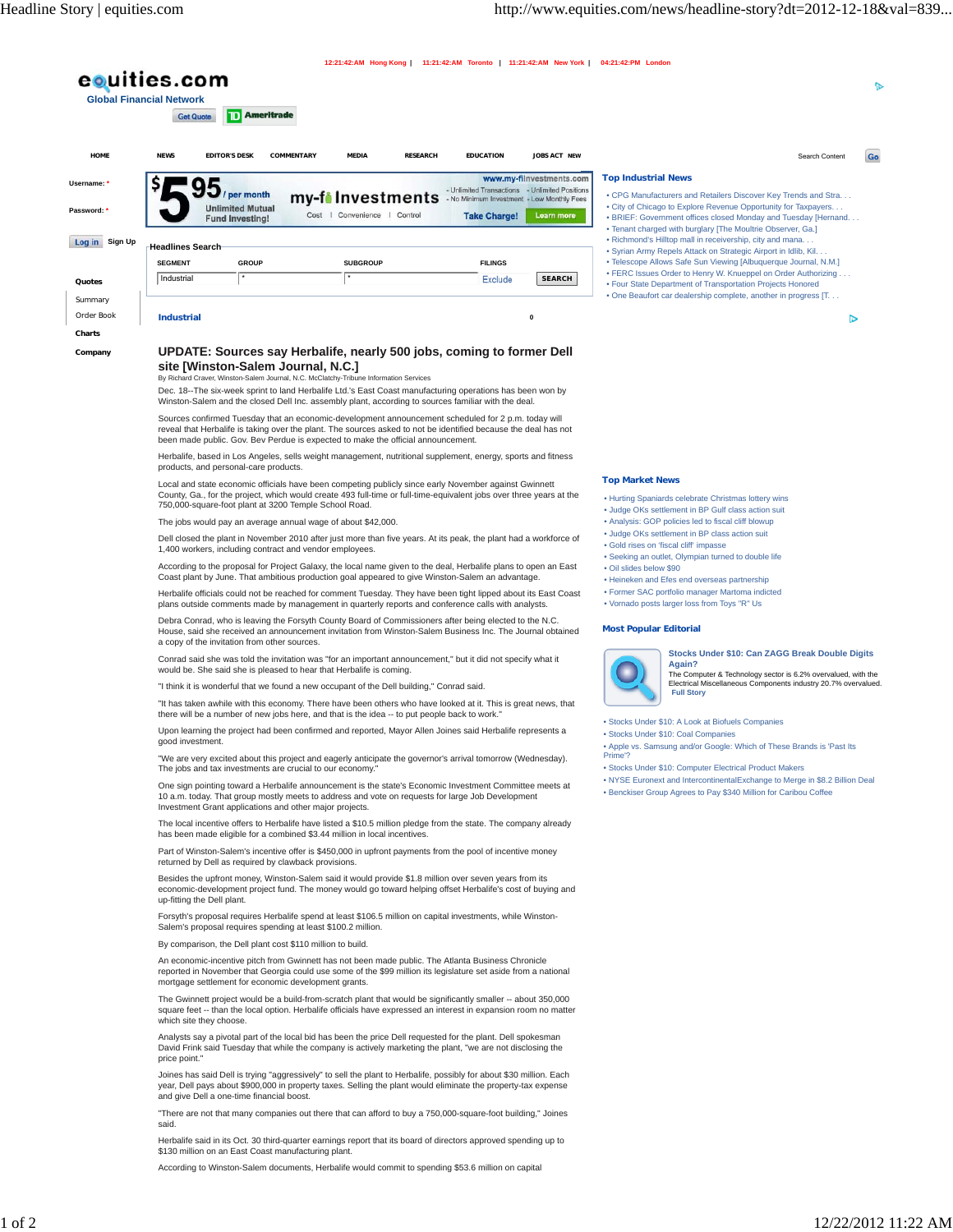|                                                                                                                                                                                                                                                                                                                          | eouities.com                                                                                                                                                                                         |  |                                                                  |            |  |                              |                  |                                                                                                                     |                                                                                                                                                                                                                                                                                                                                                                                                                                                                                                     |                                                                                                                            |                                                                                                                                                                                                                                                                                                                               |                | ъ  |
|--------------------------------------------------------------------------------------------------------------------------------------------------------------------------------------------------------------------------------------------------------------------------------------------------------------------------|------------------------------------------------------------------------------------------------------------------------------------------------------------------------------------------------------|--|------------------------------------------------------------------|------------|--|------------------------------|------------------|---------------------------------------------------------------------------------------------------------------------|-----------------------------------------------------------------------------------------------------------------------------------------------------------------------------------------------------------------------------------------------------------------------------------------------------------------------------------------------------------------------------------------------------------------------------------------------------------------------------------------------------|----------------------------------------------------------------------------------------------------------------------------|-------------------------------------------------------------------------------------------------------------------------------------------------------------------------------------------------------------------------------------------------------------------------------------------------------------------------------|----------------|----|
|                                                                                                                                                                                                                                                                                                                          | <b>Global Financial Network</b><br><b>Get Quote</b>                                                                                                                                                  |  | D Ameritrade                                                     |            |  |                              |                  |                                                                                                                     |                                                                                                                                                                                                                                                                                                                                                                                                                                                                                                     |                                                                                                                            |                                                                                                                                                                                                                                                                                                                               |                |    |
|                                                                                                                                                                                                                                                                                                                          | <b>NEWS</b>                                                                                                                                                                                          |  | <b>EDITOR'S DESK</b>                                             | COMMENTARY |  | MEDIA                        | <b>RESEARCH</b>  | <b>EDUCATION</b>                                                                                                    | JOBS ACT NEW                                                                                                                                                                                                                                                                                                                                                                                                                                                                                        |                                                                                                                            |                                                                                                                                                                                                                                                                                                                               | Search Content | Go |
|                                                                                                                                                                                                                                                                                                                          |                                                                                                                                                                                                      |  |                                                                  |            |  |                              |                  |                                                                                                                     | www.my-filnvestments.com                                                                                                                                                                                                                                                                                                                                                                                                                                                                            | <b>Top Industrial News</b>                                                                                                 |                                                                                                                                                                                                                                                                                                                               |                |    |
|                                                                                                                                                                                                                                                                                                                          |                                                                                                                                                                                                      |  | / per month<br><b>Unlimited Mutual</b><br><b>Fund Investing!</b> |            |  | Cost   Convenience   Control | my-filmvestments | - Unlimited Transactions - Unlimited Positions<br>- No Minimum Investment - Low Monthly Fees<br><b>Take Charge!</b> | Learn more                                                                                                                                                                                                                                                                                                                                                                                                                                                                                          |                                                                                                                            | . CPG Manufacturers and Retailers Discover Key Trends and Stra<br>. City of Chicago to Explore Revenue Opportunity for Taxpayers<br>. BRIEF: Government offices closed Monday and Tuesday [Hernand<br>. Tenant charged with burglary [The Moultrie Observer, Ga.]<br>. Richmond's Hilltop mall in receivership, city and mana |                |    |
|                                                                                                                                                                                                                                                                                                                          | <b>Headlines Search</b><br><b>SEGMENT</b>                                                                                                                                                            |  | <b>GROUP</b>                                                     |            |  | <b>SUBGROUP</b>              |                  | <b>FILINGS</b>                                                                                                      |                                                                                                                                                                                                                                                                                                                                                                                                                                                                                                     |                                                                                                                            | · Syrian Army Repels Attack on Strategic Airport in Idlib, Kil.<br>· Telescope Allows Safe Sun Viewing [Albuquerque Journal, N.M.]                                                                                                                                                                                            |                |    |
|                                                                                                                                                                                                                                                                                                                          | Industrial                                                                                                                                                                                           |  |                                                                  |            |  |                              |                  | Exclude                                                                                                             | <b>SEARCH</b>                                                                                                                                                                                                                                                                                                                                                                                                                                                                                       |                                                                                                                            | . FERC Issues Order to Henry W. Knueppel on Order Authorizing<br>• Four State Department of Transportation Projects Honored                                                                                                                                                                                                   |                |    |
|                                                                                                                                                                                                                                                                                                                          | <b>Industrial</b>                                                                                                                                                                                    |  |                                                                  |            |  |                              |                  |                                                                                                                     | $\pmb{0}$                                                                                                                                                                                                                                                                                                                                                                                                                                                                                           |                                                                                                                            | . One Beaufort car dealership complete, another in progress [T.                                                                                                                                                                                                                                                               | ⊳              |    |
|                                                                                                                                                                                                                                                                                                                          | UPDATE: Sources say Herbalife, nearly 500 jobs, coming to former Dell<br>site [Winston-Salem Journal, N.C.]<br>By Richard Craver, Winston-Salem Journal, N.C. McClatchy-Tribune Information Services |  |                                                                  |            |  |                              |                  |                                                                                                                     |                                                                                                                                                                                                                                                                                                                                                                                                                                                                                                     |                                                                                                                            |                                                                                                                                                                                                                                                                                                                               |                |    |
| Dec. 18--The six-week sprint to land Herbalife Ltd.'s East Coast manufacturing operations has been won by<br>Winston-Salem and the closed Dell Inc. assembly plant, according to sources familiar with the deal.                                                                                                         |                                                                                                                                                                                                      |  |                                                                  |            |  |                              |                  |                                                                                                                     |                                                                                                                                                                                                                                                                                                                                                                                                                                                                                                     |                                                                                                                            |                                                                                                                                                                                                                                                                                                                               |                |    |
| Sources confirmed Tuesday that an economic-development announcement scheduled for 2 p.m. today will<br>reveal that Herbalife is taking over the plant. The sources asked to not be identified because the deal has not<br>been made public. Gov. Bev Perdue is expected to make the official announcement.               |                                                                                                                                                                                                      |  |                                                                  |            |  |                              |                  |                                                                                                                     |                                                                                                                                                                                                                                                                                                                                                                                                                                                                                                     |                                                                                                                            |                                                                                                                                                                                                                                                                                                                               |                |    |
| Herbalife, based in Los Angeles, sells weight management, nutritional supplement, energy, sports and fitness<br>products, and personal-care products.                                                                                                                                                                    |                                                                                                                                                                                                      |  |                                                                  |            |  |                              |                  |                                                                                                                     |                                                                                                                                                                                                                                                                                                                                                                                                                                                                                                     |                                                                                                                            |                                                                                                                                                                                                                                                                                                                               |                |    |
| Local and state economic officials have been competing publicly since early November against Gwinnett                                                                                                                                                                                                                    |                                                                                                                                                                                                      |  |                                                                  |            |  |                              |                  |                                                                                                                     |                                                                                                                                                                                                                                                                                                                                                                                                                                                                                                     | <b>Top Market News</b>                                                                                                     |                                                                                                                                                                                                                                                                                                                               |                |    |
| County, Ga., for the project, which would create 493 full-time or full-time-equivalent jobs over three years at the<br>750,000-square-foot plant at 3200 Temple School Road.<br>The jobs would pay an average annual wage of about \$42,000.                                                                             |                                                                                                                                                                                                      |  |                                                                  |            |  |                              |                  |                                                                                                                     | . Hurting Spaniards celebrate Christmas lottery wins<br>. Judge OKs settlement in BP Gulf class action suit<br>. Analysis: GOP policies led to fiscal cliff blowup<br>· Judge OKs settlement in BP class action suit<br>· Gold rises on 'fiscal cliff' impasse<br>· Seeking an outlet, Olympian turned to double life<br>· Oil slides below \$90<br>• Heineken and Efes end overseas partnership<br>· Former SAC portfolio manager Martoma indicted<br>. Vornado posts larger loss from Toys "R" Us |                                                                                                                            |                                                                                                                                                                                                                                                                                                                               |                |    |
| Dell closed the plant in November 2010 after just more than five years. At its peak, the plant had a workforce of                                                                                                                                                                                                        |                                                                                                                                                                                                      |  |                                                                  |            |  |                              |                  |                                                                                                                     |                                                                                                                                                                                                                                                                                                                                                                                                                                                                                                     |                                                                                                                            |                                                                                                                                                                                                                                                                                                                               |                |    |
| 1,400 workers, including contract and vendor employees.<br>According to the proposal for Project Galaxy, the local name given to the deal, Herbalife plans to open an East                                                                                                                                               |                                                                                                                                                                                                      |  |                                                                  |            |  |                              |                  |                                                                                                                     |                                                                                                                                                                                                                                                                                                                                                                                                                                                                                                     |                                                                                                                            |                                                                                                                                                                                                                                                                                                                               |                |    |
| Coast plant by June. That ambitious production goal appeared to give Winston-Salem an advantage.<br>Herbalife officials could not be reached for comment Tuesday. They have been tight lipped about its East Coast<br>plans outside comments made by management in quarterly reports and conference calls with analysts. |                                                                                                                                                                                                      |  |                                                                  |            |  |                              |                  |                                                                                                                     |                                                                                                                                                                                                                                                                                                                                                                                                                                                                                                     |                                                                                                                            |                                                                                                                                                                                                                                                                                                                               |                |    |
| Debra Conrad, who is leaving the Forsyth County Board of Commissioners after being elected to the N.C.<br>House, said she received an announcement invitation from Winston-Salem Business Inc. The Journal obtained<br>a copy of the invitation from other sources.                                                      |                                                                                                                                                                                                      |  |                                                                  |            |  |                              |                  |                                                                                                                     | <b>Most Popular Editorial</b>                                                                                                                                                                                                                                                                                                                                                                                                                                                                       |                                                                                                                            |                                                                                                                                                                                                                                                                                                                               |                |    |
| Conrad said she was told the invitation was "for an important announcement," but it did not specify what it<br>would be. She said she is pleased to hear that Herbalife is coming.                                                                                                                                       |                                                                                                                                                                                                      |  |                                                                  |            |  |                              |                  |                                                                                                                     |                                                                                                                                                                                                                                                                                                                                                                                                                                                                                                     | Stocks Under \$10: Can ZAGG Break Double Digits<br>Again?<br>The Computer & Technology sector is 6.2% overvalued, with the |                                                                                                                                                                                                                                                                                                                               |                |    |
| "I think it is wonderful that we found a new occupant of the Dell building," Conrad said.<br>"It has taken awhile with this economy. There have been others who have looked at it. This is great news, that                                                                                                              |                                                                                                                                                                                                      |  |                                                                  |            |  |                              |                  |                                                                                                                     |                                                                                                                                                                                                                                                                                                                                                                                                                                                                                                     | <b>Full Story</b>                                                                                                          | Electrical Miscellaneous Components industry 20.7% overvalued.                                                                                                                                                                                                                                                                |                |    |
| there will be a number of new jobs here, and that is the idea -- to put people back to work."                                                                                                                                                                                                                            |                                                                                                                                                                                                      |  |                                                                  |            |  |                              |                  |                                                                                                                     |                                                                                                                                                                                                                                                                                                                                                                                                                                                                                                     | · Stocks Under \$10: A Look at Biofuels Companies                                                                          |                                                                                                                                                                                                                                                                                                                               |                |    |
| Upon learning the project had been confirmed and reported, Mayor Allen Joines said Herbalife represents a<br>good investment.                                                                                                                                                                                            |                                                                                                                                                                                                      |  |                                                                  |            |  |                              |                  |                                                                                                                     |                                                                                                                                                                                                                                                                                                                                                                                                                                                                                                     |                                                                                                                            | · Stocks Under \$10: Coal Companies<br>. Apple vs. Samsung and/or Google: Which of These Brands is 'Past Its                                                                                                                                                                                                                  |                |    |
| "We are very excited about this project and eagerly anticipate the governor's arrival tomorrow (Wednesday).<br>The jobs and tax investments are crucial to our economy."                                                                                                                                                 |                                                                                                                                                                                                      |  |                                                                  |            |  |                              |                  |                                                                                                                     |                                                                                                                                                                                                                                                                                                                                                                                                                                                                                                     | Prime'?                                                                                                                    | · Stocks Under \$10: Computer Electrical Product Makers                                                                                                                                                                                                                                                                       |                |    |
| One sign pointing toward a Herbalife announcement is the state's Economic Investment Committee meets at<br>10 a.m. today. That group mostly meets to address and vote on requests for large Job Development                                                                                                              |                                                                                                                                                                                                      |  |                                                                  |            |  |                              |                  |                                                                                                                     |                                                                                                                                                                                                                                                                                                                                                                                                                                                                                                     |                                                                                                                            | . NYSE Euronext and IntercontinentalExchange to Merge in \$8.2 Billion Deal<br>. Benckiser Group Agrees to Pay \$340 Million for Caribou Coffee                                                                                                                                                                               |                |    |
| Investment Grant applications and other major projects.<br>The local incentive offers to Herbalife have listed a \$10.5 million pledge from the state. The company already<br>has been made eligible for a combined \$3.44 million in local incentives.                                                                  |                                                                                                                                                                                                      |  |                                                                  |            |  |                              |                  |                                                                                                                     |                                                                                                                                                                                                                                                                                                                                                                                                                                                                                                     |                                                                                                                            |                                                                                                                                                                                                                                                                                                                               |                |    |
| Part of Winston-Salem's incentive offer is \$450,000 in upfront payments from the pool of incentive money<br>returned by Dell as required by clawback provisions.                                                                                                                                                        |                                                                                                                                                                                                      |  |                                                                  |            |  |                              |                  |                                                                                                                     |                                                                                                                                                                                                                                                                                                                                                                                                                                                                                                     |                                                                                                                            |                                                                                                                                                                                                                                                                                                                               |                |    |
| Besides the upfront money, Winston-Salem said it would provide \$1.8 million over seven years from its<br>economic-development project fund. The money would go toward helping offset Herbalife's cost of buying and<br>up-fitting the Dell plant.                                                                       |                                                                                                                                                                                                      |  |                                                                  |            |  |                              |                  |                                                                                                                     |                                                                                                                                                                                                                                                                                                                                                                                                                                                                                                     |                                                                                                                            |                                                                                                                                                                                                                                                                                                                               |                |    |
| Forsyth's proposal requires Herbalife spend at least \$106.5 million on capital investments, while Winston-<br>Salem's proposal requires spending at least \$100.2 million.<br>By comparison, the Dell plant cost \$110 million to build.                                                                                |                                                                                                                                                                                                      |  |                                                                  |            |  |                              |                  |                                                                                                                     |                                                                                                                                                                                                                                                                                                                                                                                                                                                                                                     |                                                                                                                            |                                                                                                                                                                                                                                                                                                                               |                |    |
| An economic-incentive pitch from Gwinnett has not been made public. The Atlanta Business Chronicle<br>reported in November that Georgia could use some of the \$99 million its legislature set aside from a national<br>mortgage settlement for economic development grants.                                             |                                                                                                                                                                                                      |  |                                                                  |            |  |                              |                  |                                                                                                                     |                                                                                                                                                                                                                                                                                                                                                                                                                                                                                                     |                                                                                                                            |                                                                                                                                                                                                                                                                                                                               |                |    |
| The Gwinnett project would be a build-from-scratch plant that would be significantly smaller -- about 350,000<br>square feet -- than the local option. Herbalife officials have expressed an interest in expansion room no matter<br>which site they choose.                                                             |                                                                                                                                                                                                      |  |                                                                  |            |  |                              |                  |                                                                                                                     |                                                                                                                                                                                                                                                                                                                                                                                                                                                                                                     |                                                                                                                            |                                                                                                                                                                                                                                                                                                                               |                |    |
| Analysts say a pivotal part of the local bid has been the price Dell requested for the plant. Dell spokesman<br>David Frink said Tuesday that while the company is actively marketing the plant, "we are not disclosing the<br>price point."                                                                             |                                                                                                                                                                                                      |  |                                                                  |            |  |                              |                  |                                                                                                                     |                                                                                                                                                                                                                                                                                                                                                                                                                                                                                                     |                                                                                                                            |                                                                                                                                                                                                                                                                                                                               |                |    |
| Joines has said Dell is trying "aggressively" to sell the plant to Herbalife, possibly for about \$30 million. Each<br>year, Dell pays about \$900,000 in property taxes. Selling the plant would eliminate the property-tax expense<br>and give Dell a one-time financial boost.                                        |                                                                                                                                                                                                      |  |                                                                  |            |  |                              |                  |                                                                                                                     |                                                                                                                                                                                                                                                                                                                                                                                                                                                                                                     |                                                                                                                            |                                                                                                                                                                                                                                                                                                                               |                |    |
| "There are not that many companies out there that can afford to buy a 750,000-square-foot building," Joines<br>said.                                                                                                                                                                                                     |                                                                                                                                                                                                      |  |                                                                  |            |  |                              |                  |                                                                                                                     |                                                                                                                                                                                                                                                                                                                                                                                                                                                                                                     |                                                                                                                            |                                                                                                                                                                                                                                                                                                                               |                |    |
|                                                                                                                                                                                                                                                                                                                          | Herbalife said in its Oct. 30 third-quarter earnings report that its board of directors approved spending up to<br>\$130 million on an East Coast manufacturing plant.                               |  |                                                                  |            |  |                              |                  |                                                                                                                     |                                                                                                                                                                                                                                                                                                                                                                                                                                                                                                     |                                                                                                                            |                                                                                                                                                                                                                                                                                                                               |                |    |
|                                                                                                                                                                                                                                                                                                                          |                                                                                                                                                                                                      |  |                                                                  |            |  |                              |                  | According to Winston-Salem documents, Herbalife would commit to spending \$53.6 million on capital                  |                                                                                                                                                                                                                                                                                                                                                                                                                                                                                                     |                                                                                                                            |                                                                                                                                                                                                                                                                                                                               |                |    |